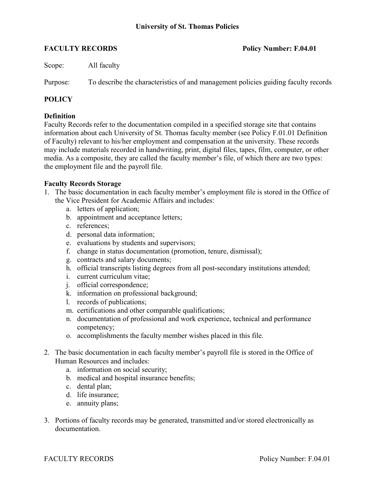**FACULTY RECORDS Policy Number: F.04.01**

Scope: All faculty

Purpose: To describe the characteristics of and management policies guiding faculty records

## **POLICY**

## **Definition**

Faculty Records refer to the documentation compiled in a specified storage site that contains information about each University of St. Thomas faculty member (see Policy F.01.01 Definition of Faculty) relevant to his/her employment and compensation at the university. These records may include materials recorded in handwriting, print, digital files, tapes, film, computer, or other media. As a composite, they are called the faculty member's file, of which there are two types: the employment file and the payroll file.

### **Faculty Records Storage**

- 1. The basic documentation in each faculty member's employment file is stored in the Office of the Vice President for Academic Affairs and includes:
	- a. letters of application;
	- b. appointment and acceptance letters;
	- c. references;
	- d. personal data information;
	- e. evaluations by students and supervisors;
	- f. change in status documentation (promotion, tenure, dismissal);
	- g. contracts and salary documents;
	- h. official transcripts listing degrees from all post-secondary institutions attended;
	- i. current curriculum vitae;
	- j. official correspondence;
	- k. information on professional background;
	- l. records of publications;
	- m. certifications and other comparable qualifications;
	- n. documentation of professional and work experience, technical and performance competency;
	- o. accomplishments the faculty member wishes placed in this file.
- 2. The basic documentation in each faculty member's payroll file is stored in the Office of Human Resources and includes:
	- a. information on social security;
	- b. medical and hospital insurance benefits;
	- c. dental plan;
	- d. life insurance;
	- e. annuity plans;
- 3. Portions of faculty records may be generated, transmitted and/or stored electronically as documentation.

FACULTY RECORDS Policy Number: F.04.01